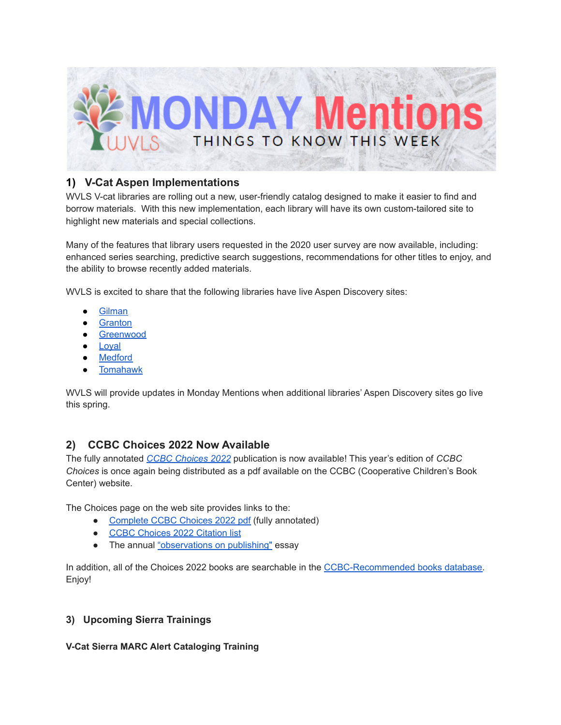

## **1) V-Cat Aspen Implementations**

WVLS V-cat libraries are rolling out a new, user-friendly catalog designed to make it easier to find and borrow materials. With this new implementation, each library will have its own custom-tailored site to highlight new materials and special collections.

Many of the features that library users requested in the 2020 user survey are now available, including: enhanced series searching, predictive search suggestions, recommendations for other titles to enjoy, and the ability to browse recently added materials.

WVLS is excited to share that the following libraries have live Aspen Discovery sites:

- **[Gilman](https://gilman.catalog.wvls.org/)**
- **[Granton](https://granton.catalog.wvls.org/)**
- [Greenwood](https://greenwood.catalog.wvls.org/)
- [Loyal](https://loyal.catalog.wvls.org/)
- **[Medford](https://medford.catalog.wvls.org/)**
- **[Tomahawk](https://tomahawk.catalog.wvls.org/)**

WVLS will provide updates in Monday Mentions when additional libraries' Aspen Discovery sites go live this spring.

# **2) CCBC Choices 2022 Now Available**

The fully annotated *CCBC [Choices](https://nam04.safelinks.protection.outlook.com/?url=https%3A%2F%2Fccbc.education.wisc.edu%2Fliterature-resources%2Fccbc-choices%2F&data=04%7C01%7CMonica.Treptow%40dpi.wi.gov%7Ca8297d571acf406730b208d9ed7c2f26%7C1654d14032604903b5b718450051ce16%7C1%7C0%7C637801940773496683%7CUnknown%7CTWFpbGZsb3d8eyJWIjoiMC4wLjAwMDAiLCJQIjoiV2luMzIiLCJBTiI6Ik1haWwiLCJXVCI6Mn0%3D%7C3000&sdata=cCRLyIG3E6foH6oqRmD3%2FUHtYYmTOHi1x2dfRSaDLXg%3D&reserved=0) 2022* publication is now available! This year's edition of *CCBC Choices* is once again being distributed as a pdf available on the CCBC (Cooperative Children's Book Center) website.

The Choices page on the web site provides links to the:

- [Complete](https://uwmadison.app.box.com/s/pvpuft57quq4yx3x6nmys6ydudsodvp3) CCBC Choices 2022 pdf (fully annotated)
- CCBC [Choices](https://d3jcs7j1qj73at.cloudfront.net/wp-content/uploads/sites/13/2022/02/CCBC_Choices_2022_citations.pdf) 2022 Citation list
- The annual ["observations](https://ccbc.education.wisc.edu/observations-on-publishing-in-2021/) on publishing" essay

In addition, all of the Choices 2022 books are searchable in the [CCBC-Recommended](https://ccbc.education.wisc.edu/recommended-books/) books database. Enjoy!

### **3) Upcoming Sierra Trainings**

**V-Cat Sierra MARC Alert Cataloging Training**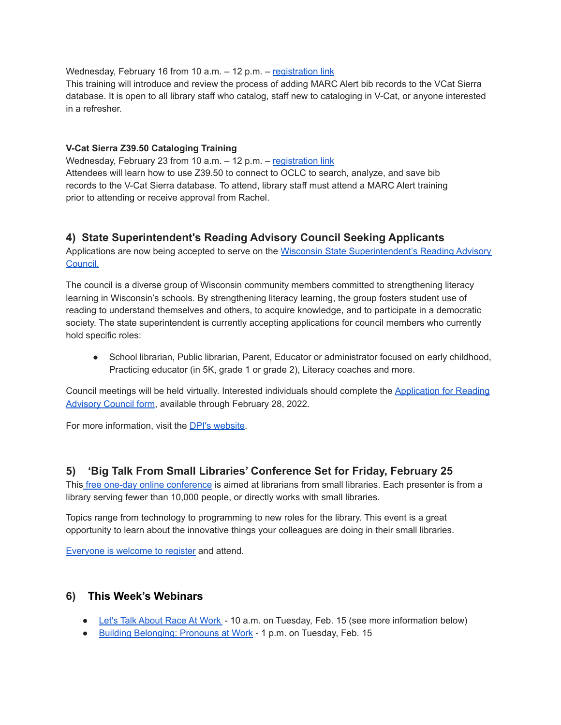Wednesday, February 16 from 10 a.m. - 12 p.m. - [registration](https://forms.gle/onQvffNMS7wsRmLTA) link

This training will introduce and review the process of adding MARC Alert bib records to the VCat Sierra database. It is open to all library staff who catalog, staff new to cataloging in V-Cat, or anyone interested in a refresher.

#### **V-Cat Sierra Z39.50 Cataloging Training**

Wednesday, February 23 from 10 a.m. - 12 p.m. - [registration](https://forms.gle/URXMAm6eFzKcKN5J8) link Attendees will learn how to use Z39.50 to connect to OCLC to search, analyze, and save bib records to the V-Cat Sierra database. To attend, library staff must attend a MARC Alert training prior to attending or receive approval from Rachel.

## **4) State Superintendent's Reading Advisory Council Seeking Applicants**

Applications are now being accepted to serve on the Wisconsin State [Superintendent's](https://dpi.wi.gov/wi-reads) Reading Advisory [Council.](https://dpi.wi.gov/wi-reads)

The council is a diverse group of Wisconsin community members committed to strengthening literacy learning in Wisconsin's schools. By strengthening literacy learning, the group fosters student use of reading to understand themselves and others, to acquire knowledge, and to participate in a democratic society. The state superintendent is currently accepting applications for council members who currently hold specific roles:

• School librarian, Public librarian, Parent, Educator or administrator focused on early childhood, Practicing educator (in 5K, grade 1 or grade 2), Literacy coaches and more.

Council meetings will be held virtually. Interested individuals should complete the [Application](https://widpi.co1.qualtrics.com/jfe/form/SV_9KBga6fvINTujAO) for Reading [Advisory](https://widpi.co1.qualtrics.com/jfe/form/SV_9KBga6fvINTujAO) Council form, available through February 28, 2022.

For more information, visit the DPI's [website](https://dpi.wi.gov/wi-reads).

### **5) 'Big Talk From Small Libraries' Conference Set for Friday, February 25**

This free one-day online [conference](http://nlcblogs.nebraska.gov/bigtalk/) is aimed at librarians from small libraries. Each presenter is from a library serving fewer than 10,000 people, or directly works with small libraries.

Topics range from technology to programming to new roles for the library. This event is a great opportunity to learn about the innovative things your colleagues are doing in their small libraries.

[Everyone](http://nlcblogs.nebraska.gov/bigtalk/registration/) is welcome to register and attend.

#### **6) This Week's Webinars**

- Let's Talk [About](https://us02web.zoom.us/webinar/register/WN_wbC2XlNqSvWP8ajkB9Hvwg) Race At Work 10 a.m. on Tuesday, Feb. 15 (see more information below)
- Building [Belonging:](https://event.on24.com/wcc/r/3531542/1B466198FDD64C06E8FCD69517A7BC82?partnerref=dASiteListing) Pronouns at Work 1 p.m. on Tuesday, Feb. 15